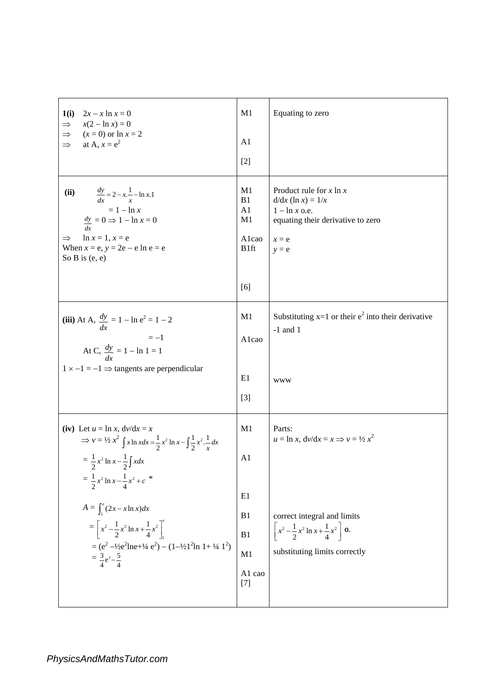| 1(i)<br>$2x - x \ln x = 0$<br>$x(2 - \ln x) = 0$<br>$\Rightarrow$<br>$\Rightarrow$<br>$(x = 0)$ or $\ln x = 2$<br>$\Rightarrow$<br>at A, $x = e^2$                                                                                                                                                                                                | M1<br>A <sub>1</sub>                                      | Equating to zero                                                                                                                   |
|---------------------------------------------------------------------------------------------------------------------------------------------------------------------------------------------------------------------------------------------------------------------------------------------------------------------------------------------------|-----------------------------------------------------------|------------------------------------------------------------------------------------------------------------------------------------|
|                                                                                                                                                                                                                                                                                                                                                   | $[2]$                                                     |                                                                                                                                    |
| (ii)<br>$\frac{dy}{dx} = 2 - x \cdot \frac{1}{x} - \ln x \cdot 1$<br>$= 1 - \ln x$<br>$\frac{dy}{dx} = 0 \Rightarrow 1 - \ln x = 0$<br>$ln x = 1, x = e$<br>$\Rightarrow$<br>When $x = e$ , $y = 2e - e \ln e = e$<br>So B is $(e, e)$                                                                                                            | M1<br>B1<br>A1<br>M1<br>Alcao<br>B <sub>1ft</sub><br>[6]  | Product rule for $x \ln x$<br>$d/dx$ (ln x) = $1/x$<br>$1 - \ln x$ o.e.<br>equating their derivative to zero<br>$x = e$<br>$y = e$ |
| (iii) At A, $\frac{dy}{dx} = 1 - \ln e^2 = 1 - 2$<br>$=-1$<br>At C, $\frac{dy}{dx} = 1 - \ln 1 = 1$                                                                                                                                                                                                                                               | M1<br>Alcao                                               | Substituting $x=1$ or their $e^2$ into their derivative<br>$-1$ and 1                                                              |
| $1 \times -1 = -1 \implies$ tangents are perpendicular                                                                                                                                                                                                                                                                                            | E1<br>$[3]$                                               | <b>WWW</b>                                                                                                                         |
| (iv) Let $u = \ln x$ , $dv/dx = x$<br>$\Rightarrow v = \frac{1}{2}x^2 \int x \ln x dx = \frac{1}{2}x^2 \ln x - \int \frac{1}{2}x^2 \cdot \frac{1}{x} dx$                                                                                                                                                                                          | M1                                                        | Parts:<br>$u = \ln x$ , $dv/dx = x \implies v = \frac{1}{2}x^2$                                                                    |
| $=\frac{1}{2}x^2 \ln x - \frac{1}{2} \int x dx$<br>$=\frac{1}{2}x^2 \ln x - \frac{1}{4}x^2 + c$ *<br>$A = \int_{1}^{e} (2x - x \ln x) dx$<br>$= \left[x^2 - \frac{1}{2}x^2 \ln x + \frac{1}{4}x^2\right]_1^e$<br>$= (e^2 - \frac{1}{2}e^2 \ln e + \frac{1}{4}e^2) - (1 - \frac{1}{2}1^2 \ln 1 + \frac{1}{4}1^2)$<br>$=\frac{3}{4}e^2-\frac{5}{4}$ | A1<br>E1<br>B <sub>1</sub><br>B1<br>M1<br>A1 cao<br>$[7]$ | correct integral and limits<br>$x^2 - \frac{1}{2}x^2 \ln x + \frac{1}{4}x^2$ o.<br>substituting limits correctly                   |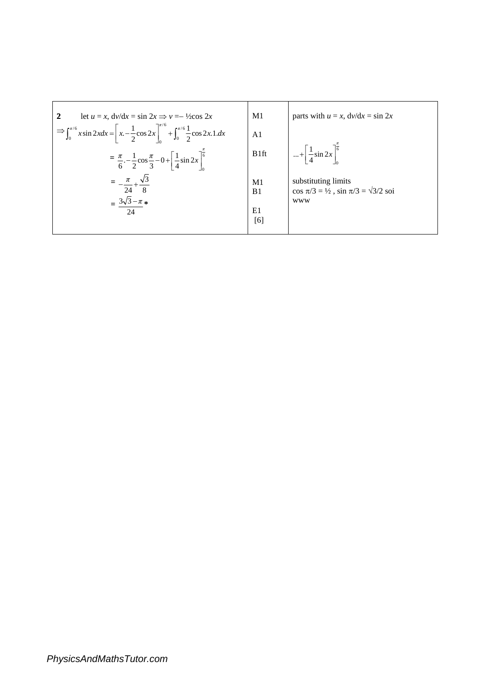| let $u = x$ , $dv/dx = \sin 2x \implies v = -\frac{1}{2}\cos 2x$                                                                             | M1                               | parts with $u = x$ , $dv/dx = \sin 2x$                                                    |
|----------------------------------------------------------------------------------------------------------------------------------------------|----------------------------------|-------------------------------------------------------------------------------------------|
| $\Rightarrow \int_0^{\pi/6} x \sin 2x dx = \left[ x - \frac{1}{2} \cos 2x \right]_0^{\pi/6} + \int_0^{\pi/6} \frac{1}{2} \cos 2x \cdot 1 dx$ | A <sub>1</sub>                   |                                                                                           |
| $=\frac{\pi}{6} - \frac{1}{2} \cos \frac{\pi}{3} - 0 + \left[ \frac{1}{4} \sin 2x \right]$                                                   | B1ft                             | $\cdots + \frac{1}{4} \sin 2x \left  \frac{1}{6} \right $                                 |
| 24                                                                                                                                           | M <sub>1</sub><br>B <sub>1</sub> | substituting limits<br>$\cos \pi/3 = \frac{1}{2}$ , $\sin \pi/3 = \frac{\sqrt{3}}{2}$ soi |
| 24                                                                                                                                           | E1<br>[6]                        | <b>WWW</b>                                                                                |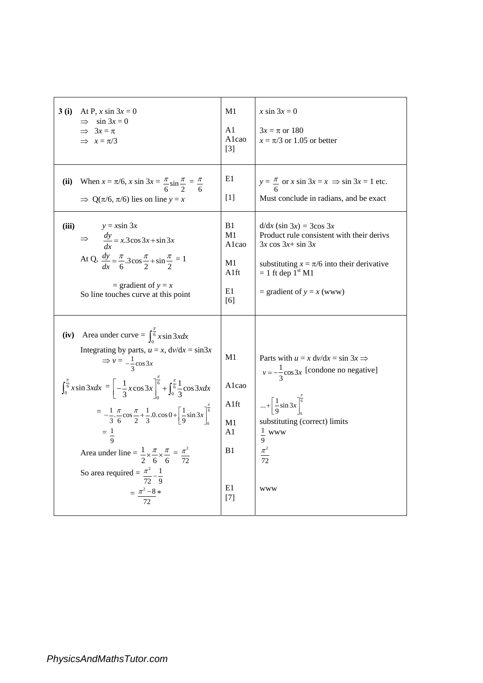| 3(i)<br>At P, x sin $3x = 0$<br>$\implies$ sin 3x = 0<br>$\implies$ 3x = $\pi$<br>$\implies x = \pi/3$                                                                                                                                                                                                                                                                                                                                                                                                                                                                                                                                                                             | M1<br>A1<br>Alcao<br>$\lceil 3 \rceil$                           | x sin $3x = 0$<br>$3x = \pi$ or 180<br>$x = \pi/3$ or 1.05 or better                                                                                                                                                                       |
|------------------------------------------------------------------------------------------------------------------------------------------------------------------------------------------------------------------------------------------------------------------------------------------------------------------------------------------------------------------------------------------------------------------------------------------------------------------------------------------------------------------------------------------------------------------------------------------------------------------------------------------------------------------------------------|------------------------------------------------------------------|--------------------------------------------------------------------------------------------------------------------------------------------------------------------------------------------------------------------------------------------|
| When $x = \pi/6$ , $x \sin 3x = \frac{\pi}{6} \sin \frac{\pi}{2} = \frac{\pi}{6}$<br>(ii)<br>$\Rightarrow$ Q( $\pi/6$ , $\pi/6$ ) lies on line y = x                                                                                                                                                                                                                                                                                                                                                                                                                                                                                                                               | E1<br>[1]                                                        | $y = \frac{\pi}{2}$ or x sin $3x = x \implies \sin 3x = 1$ etc.<br>Must conclude in radians, and be exact                                                                                                                                  |
| (iii)<br>$v = x \sin 3x$<br>$\Rightarrow \frac{dy}{dx} = x \cdot 3\cos 3x + \sin 3x$<br>At Q, $\frac{dy}{dx} = \frac{\pi}{6} .3 \cos \frac{\pi}{2} + \sin \frac{\pi}{2} = 1$<br>= gradient of $y = x$<br>So line touches curve at this point                                                                                                                                                                                                                                                                                                                                                                                                                                       | B1<br>M1<br>Alcao<br>M1<br>A1ft<br>E1<br>[6]                     | $d/dx$ (sin 3x) = 3cos 3x<br>Product rule consistent with their derivs<br>$3x \cos 3x + \sin 3x$<br>substituting $x = \pi/6$ into their derivative<br>$= 1$ ft dep $1st M1$<br>= gradient of $y = x$ (www)                                 |
| Area under curve = $\int_{0}^{\frac{\pi}{6}} x \sin 3x dx$<br>(iv)<br>Integrating by parts, $u = x$ , $dv/dx = \sin 3x$<br>$\Rightarrow v = -\frac{1}{2}\cos 3x$<br>$\int_0^{\frac{\pi}{6}} x \sin 3x dx = \left[ -\frac{1}{3} x \cos 3x \right]_0^{\frac{\pi}{6}} + \int_0^{\frac{\pi}{6}} \frac{1}{3} \cos 3x dx$<br>$= -\frac{1}{3} \cdot \frac{\pi}{6} \cos \frac{\pi}{2} + \frac{1}{3} \cdot 0 \cdot \cos \theta + \left[ \frac{1}{9} \sin 3x \right]_0^{\frac{1}{6}}$<br>$=\frac{1}{\alpha}$<br>Area under line = $\frac{1}{2} \times \frac{\pi}{6} \times \frac{\pi}{6} = \frac{\pi^2}{72}$<br>So area required = $\frac{\pi^2}{72} - \frac{1}{9}$<br>$=\frac{\pi^2-8}{72}$ | M1<br>Alcao<br>Alft<br>M1<br>A <sub>1</sub><br>B1<br>E1<br>$[7]$ | Parts with $u = x dv/dx = \sin 3x \implies$<br>$v = -\frac{1}{2}\cos 3x$ [condone no negative]<br>$+\left[\frac{1}{9}\sin 3x\right]^{\frac{1}{6}}$<br>substituting (correct) limits<br>$rac{1}{9}$ www<br>$\frac{\pi^2}{72}$<br><b>WWW</b> |